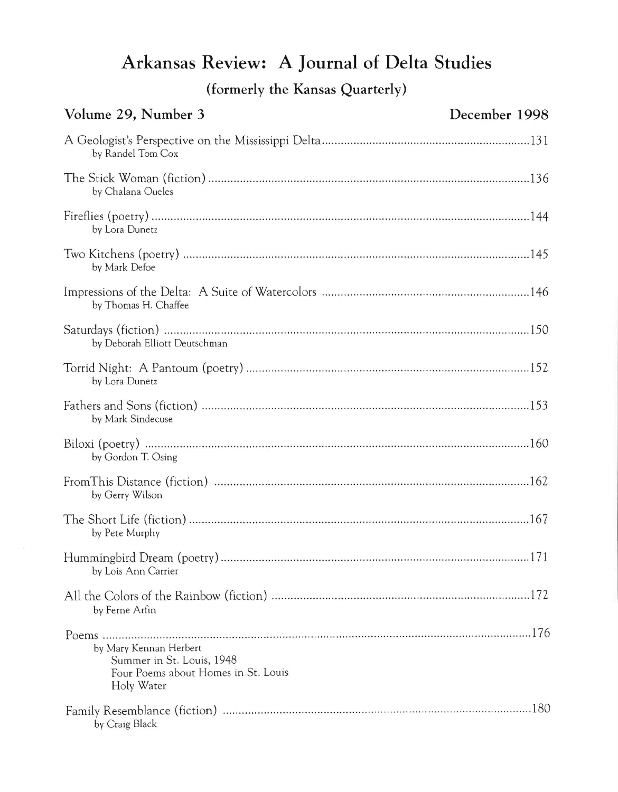## **Arkansas Review: A Journal of Delta Studies**

**(formerly the Kansas Quarterly)** 

| Volume 29, Number 3                                                                                      | December 1998 |
|----------------------------------------------------------------------------------------------------------|---------------|
| by Randel Tom Cox                                                                                        |               |
| by Chalana Oueles                                                                                        |               |
| by Lora Dunetz                                                                                           |               |
| by Mark Defoe                                                                                            |               |
| by Thomas H. Chaffee                                                                                     |               |
| by Deborah Elliott Deutschman                                                                            |               |
| by Lora Dunetz                                                                                           |               |
| by Mark Sindecuse                                                                                        |               |
| by Gordon T. Osing                                                                                       |               |
| by Gerry Wilson                                                                                          |               |
| by Pete Murphy                                                                                           |               |
| by Lois Ann Carrier                                                                                      |               |
| by Ferne Arfin                                                                                           |               |
| by Mary Kennan Herbert<br>Summer in St. Louis, 1948<br>Four Poems about Homes in St. Louis<br>Holy Water |               |
| by Craig Black                                                                                           |               |

 $\tilde{\mathbf{s}}$